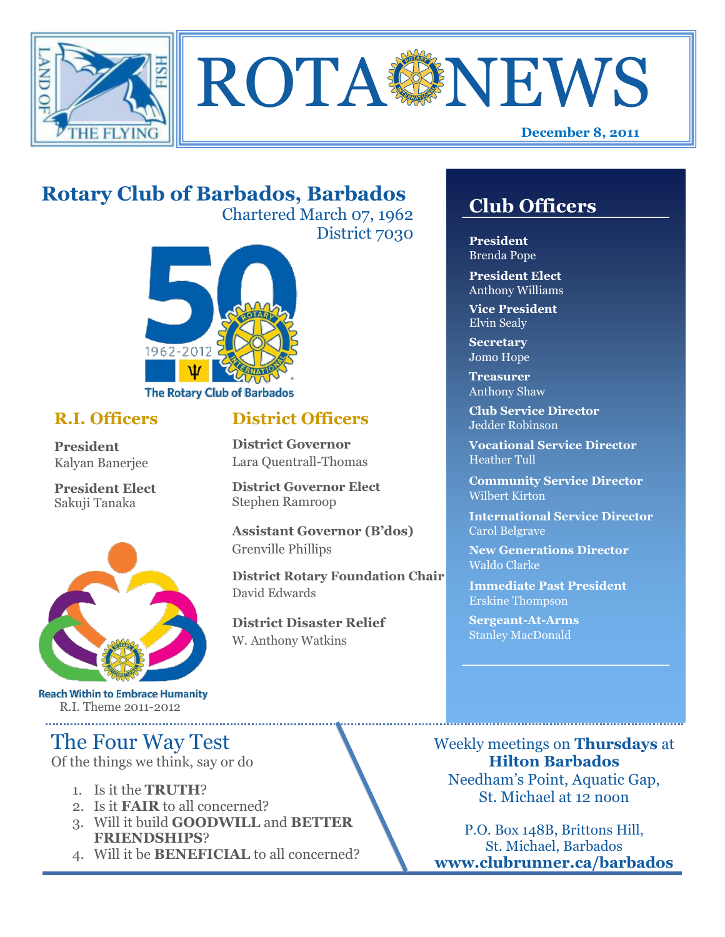



## **Rotary Club of Barbados, Barbados**

Chartered March 07, 1962 District 7030



#### **R.I. Officers**

**President**  Kalyan Banerjee

**President Elect** Sakuji Tanaka



**Reach Within to Embrace Humanity** R.I. Theme 2011-2012

## The Four Way Test

Of the things we think, say or do

- 1. Is it the **TRUTH**?
- 2. Is it **FAIR** to all concerned?
- 3. Will it build **GOODWILL** and **BETTER FRIENDSHIPS**?
- 4. Will it be **BENEFICIAL** to all concerned?

### **Club Officers**

**Club Officers** 

**President** Brenda Pope

**President Elect** Anthony Williams

**Vice President** Elvin Sealy

**Secretary** Jomo Hope

**Treasurer** Anthony Shaw

**Club Service Director** Jedder Robinson

**Vocational Service Director** Heather Tull

**Community Service Director** Wilbert Kirton

**International Service Director** Carol Belgrave

**New Generations Director** Waldo Clarke

**Immediate Past President** Erskine Thompson

**Sergeant-At-Arms** Stanley MacDonald

Weekly meetings on **Thursdays** at **Hilton Barbados** Needham's Point, Aquatic Gap, St. Michael at 12 noon

P.O. Box 148B, Brittons Hill, St. Michael, Barbados **www.clubrunner.ca/barbados**

#### **District Officers**

**District Governor** Lara Quentrall-Thomas

**District Governor Elect** Stephen Ramroop

**Assistant Governor (B'dos)** Grenville Phillips

**District Rotary Foundation Chair** David Edwards

**District Disaster Relief** W. Anthony Watkins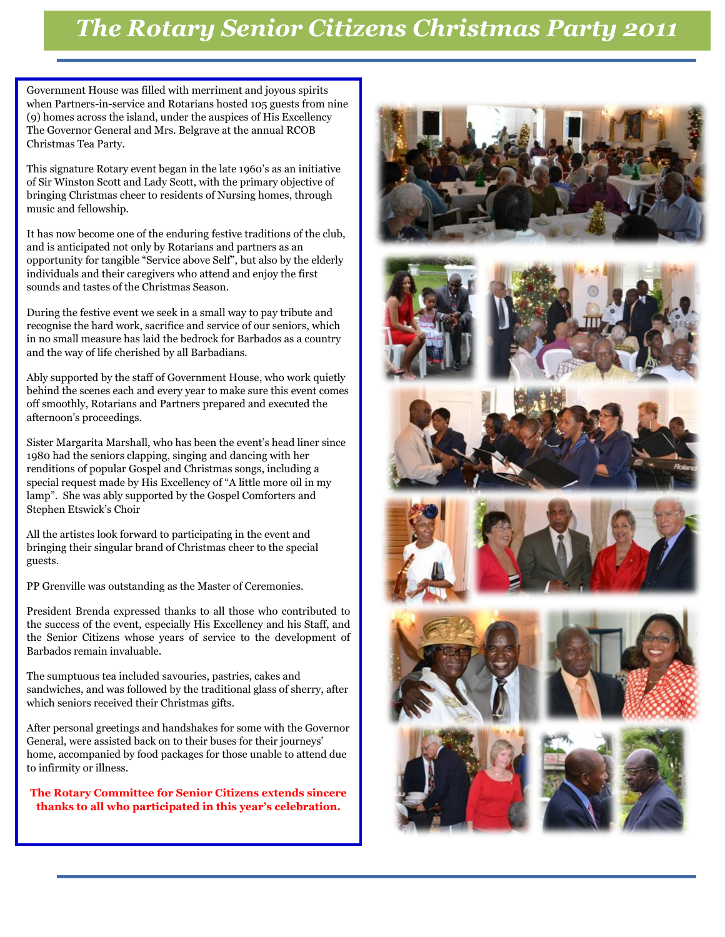# *The Rotary Senior Citizens Christmas Party 2011*

Government House was filled with merriment and joyous spirits when Partners-in-service and Rotarians hosted 105 guests from nine (9) homes across the island, under the auspices of His Excellency The Governor General and Mrs. Belgrave at the annual RCOB Christmas Tea Party.

This signature Rotary event began in the late 1960's as an initiative of Sir Winston Scott and Lady Scott, with the primary objective of bringing Christmas cheer to residents of Nursing homes, through music and fellowship.

It has now become one of the enduring festive traditions of the club, and is anticipated not only by Rotarians and partners as an opportunity for tangible "Service above Self", but also by the elderly individuals and their caregivers who attend and enjoy the first sounds and tastes of the Christmas Season.

During the festive event we seek in a small way to pay tribute and recognise the hard work, sacrifice and service of our seniors, which in no small measure has laid the bedrock for Barbados as a country and the way of life cherished by all Barbadians.

Ably supported by the staff of Government House, who work quietly behind the scenes each and every year to make sure this event comes off smoothly, Rotarians and Partners prepared and executed the afternoon's proceedings.

Sister Margarita Marshall, who has been the event's head liner since 1980 had the seniors clapping, singing and dancing with her renditions of popular Gospel and Christmas songs, including a special request made by His Excellency of "A little more oil in my lamp". She was ably supported by the Gospel Comforters and Stephen Etswick's Choir

All the artistes look forward to participating in the event and bringing their singular brand of Christmas cheer to the special guests.

PP Grenville was outstanding as the Master of Ceremonies.

President Brenda expressed thanks to all those who contributed to the success of the event, especially His Excellency and his Staff, and the Senior Citizens whose years of service to the development of Barbados remain invaluable.

The sumptuous tea included savouries, pastries, cakes and sandwiches, and was followed by the traditional glass of sherry, after which seniors received their Christmas gifts.

After personal greetings and handshakes for some with the Governor General, were assisted back on to their buses for their journeys' home, accompanied by food packages for those unable to attend due to infirmity or illness.

**The Rotary Committee for Senior Citizens extends sincere thanks to all who participated in this year's celebration.**























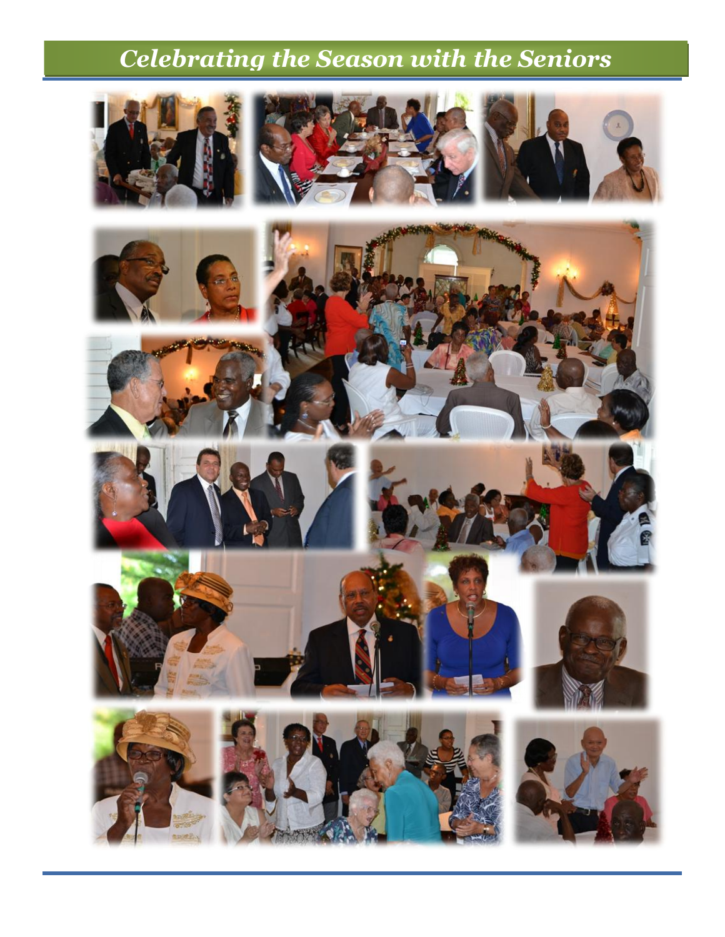# *Celebrating the Season with the Seniors*